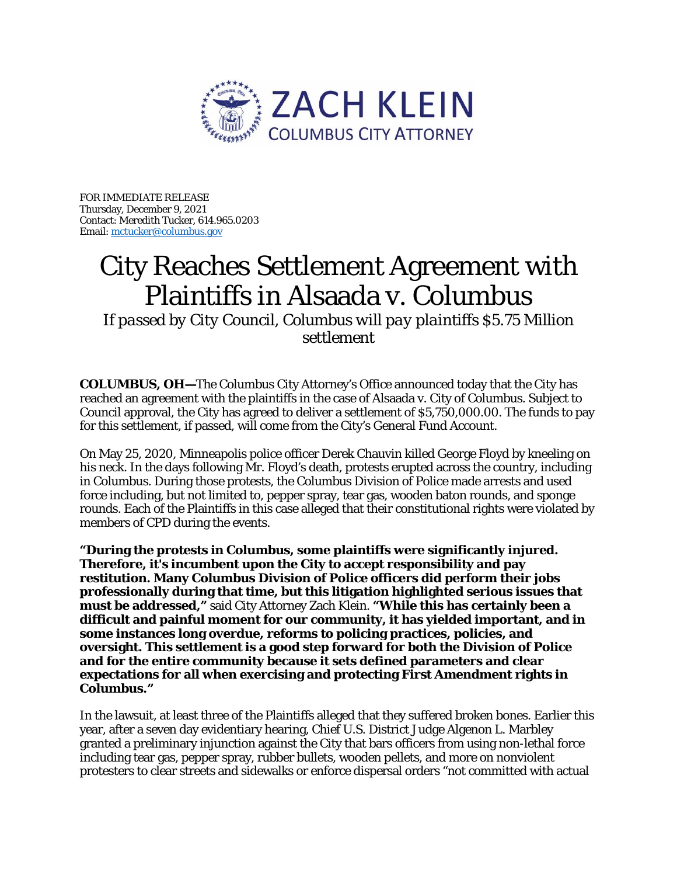

FOR IMMEDIATE RELEASE Thursday, December 9, 2021 Contact: Meredith Tucker, 614.965.0203 Email[: mctucker@columbus.gov](mailto:mctucker@columbus.gov)

## City Reaches Settlement Agreement with Plaintiffs in Alsaada v. Columbus

*If passed by City Council, Columbus will pay plaintiffs \$5.75 Million settlement* 

**COLUMBUS, OH—**The Columbus City Attorney's Office announced today that the City has reached an agreement with the plaintiffs in the case of Alsaada v. City of Columbus. Subject to Council approval, the City has agreed to deliver a settlement of \$5,750,000.00. The funds to pay for this settlement, if passed, will come from the City's General Fund Account.

On May 25, 2020, Minneapolis police officer Derek Chauvin killed George Floyd by kneeling on his neck. In the days following Mr. Floyd's death, protests erupted across the country, including in Columbus. During those protests, the Columbus Division of Police made arrests and used force including, but not limited to, pepper spray, tear gas, wooden baton rounds, and sponge rounds. Each of the Plaintiffs in this case alleged that their constitutional rights were violated by members of CPD during the events.

**"During the protests in Columbus, some plaintiffs were significantly injured. Therefore, it's incumbent upon the City to accept responsibility and pay restitution. Many Columbus Division of Police officers did perform their jobs professionally during that time, but this litigation highlighted serious issues that must be addressed,"** said City Attorney Zach Klein. **"While this has certainly been a difficult and painful moment for our community, it has yielded important, and in some instances long overdue, reforms to policing practices, policies, and oversight. This settlement is a good step forward for both the Division of Police and for the entire community because it sets defined parameters and clear expectations for all when exercising and protecting First Amendment rights in Columbus."**

In the lawsuit, at least three of the Plaintiffs alleged that they suffered broken bones. Earlier this year, after a seven day evidentiary hearing, Chief U.S. District Judge Algenon L. Marbley granted a preliminary injunction against the City that bars officers from using non-lethal force including tear gas, pepper spray, rubber bullets, wooden pellets, and more on nonviolent protesters to clear streets and sidewalks or enforce dispersal orders "not committed with actual